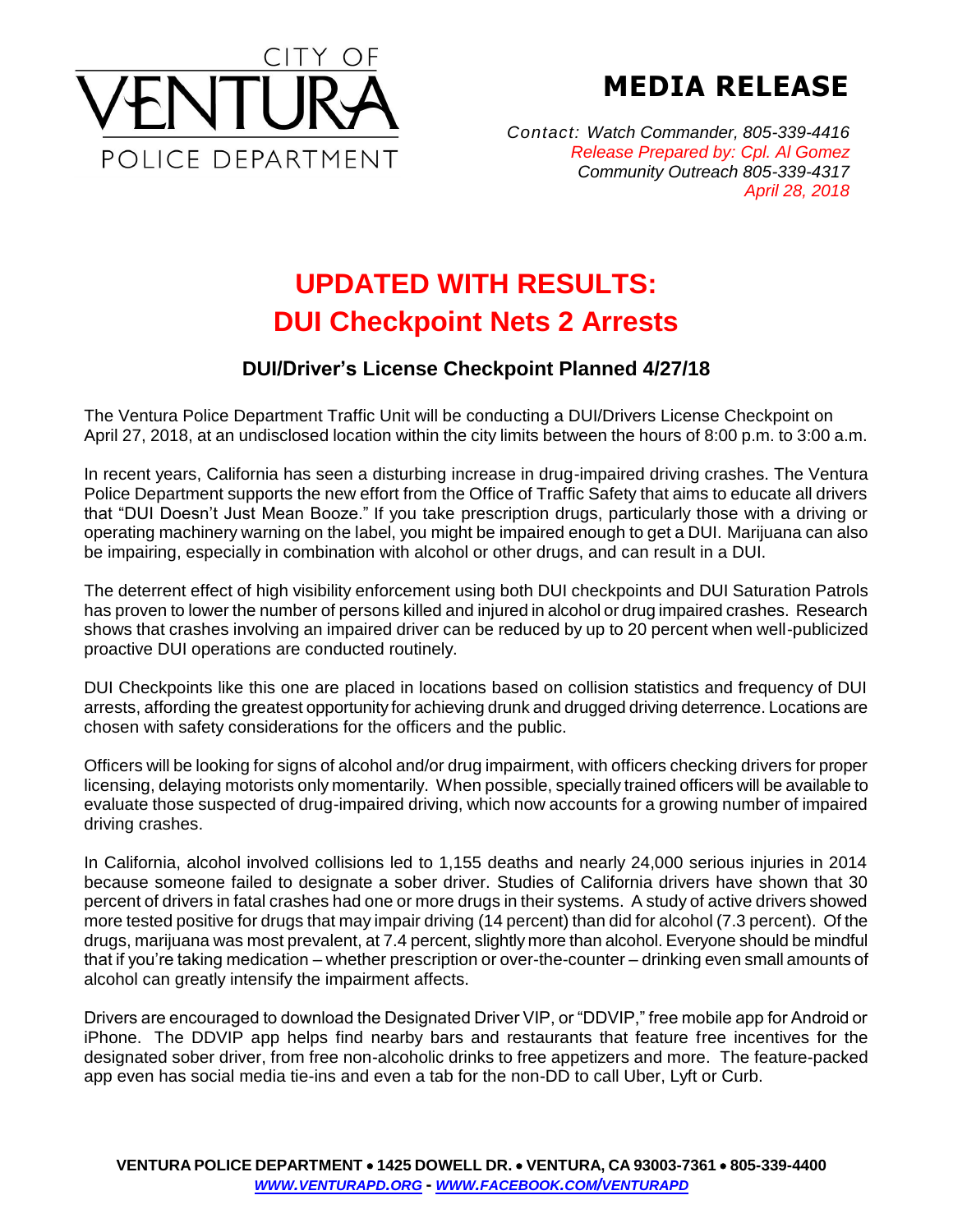

**MEDIA RELEASE**

*Contact: Watch Commander, 805-339-4416 Release Prepared by: Cpl. Al Gomez Community Outreach 805-339-4317 April 28, 2018*

## **UPDATED WITH RESULTS: DUI Checkpoint Nets 2 Arrests**

## **DUI/Driver's License Checkpoint Planned 4/27/18**

The Ventura Police Department Traffic Unit will be conducting a DUI/Drivers License Checkpoint on April 27, 2018, at an undisclosed location within the city limits between the hours of 8:00 p.m. to 3:00 a.m.

In recent years, California has seen a disturbing increase in drug-impaired driving crashes. The Ventura Police Department supports the new effort from the Office of Traffic Safety that aims to educate all drivers that "DUI Doesn't Just Mean Booze." If you take prescription drugs, particularly those with a driving or operating machinery warning on the label, you might be impaired enough to get a DUI. Marijuana can also be impairing, especially in combination with alcohol or other drugs, and can result in a DUI.

The deterrent effect of high visibility enforcement using both DUI checkpoints and DUI Saturation Patrols has proven to lower the number of persons killed and injured in alcohol or drug impaired crashes. Research shows that crashes involving an impaired driver can be reduced by up to 20 percent when well-publicized proactive DUI operations are conducted routinely.

DUI Checkpoints like this one are placed in locations based on collision statistics and frequency of DUI arrests, affording the greatest opportunity for achieving drunk and drugged driving deterrence. Locations are chosen with safety considerations for the officers and the public.

Officers will be looking for signs of alcohol and/or drug impairment, with officers checking drivers for proper licensing, delaying motorists only momentarily. When possible, specially trained officers will be available to evaluate those suspected of drug-impaired driving, which now accounts for a growing number of impaired driving crashes.

In California, alcohol involved collisions led to 1,155 deaths and nearly 24,000 serious injuries in 2014 because someone failed to designate a sober driver. Studies of California drivers have shown that 30 percent of drivers in fatal crashes had one or more drugs in their systems. A study of active drivers showed more tested positive for drugs that may impair driving (14 percent) than did for alcohol (7.3 percent). Of the drugs, marijuana was most prevalent, at 7.4 percent, slightly more than alcohol. Everyone should be mindful that if you're taking medication – whether prescription or over-the-counter – drinking even small amounts of alcohol can greatly intensify the impairment affects.

Drivers are encouraged to download the Designated Driver VIP, or "DDVIP," free mobile app for Android or iPhone. The DDVIP app helps find nearby bars and restaurants that feature free incentives for the designated sober driver, from free non-alcoholic drinks to free appetizers and more. The feature-packed app even has social media tie-ins and even a tab for the non-DD to call Uber, Lyft or Curb.